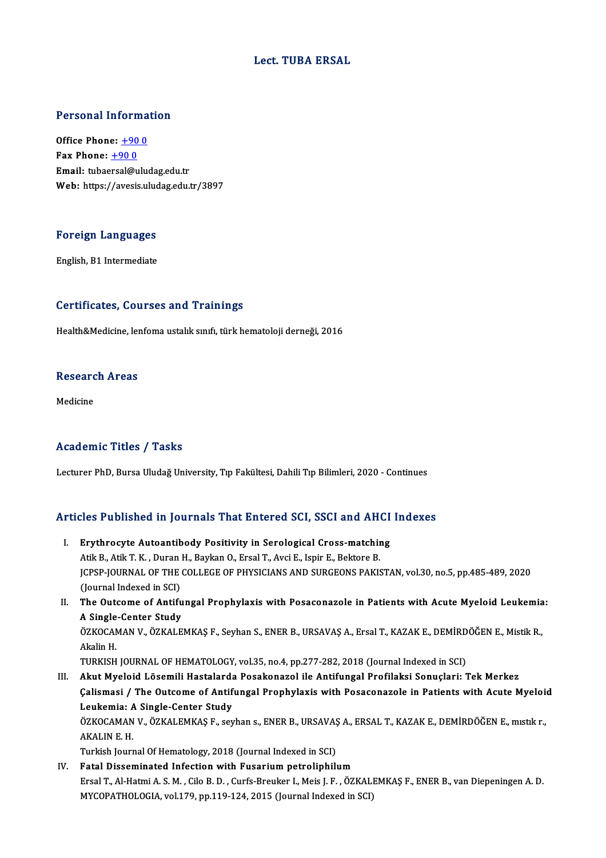#### Lect. TUBA ERSAL

# Personal Information

Personal Informa<br>Office Phone: <u>+90 0</u><br>Fax Phone: 190 0 Office Phone:  $+900$ <br>Fax Phone:  $+900$ Email: tubae[rsal@ulu](tel:+90 0)dag.edu.tr Web: https://avesis.uludag.edu.tr/3897

#### Foreign Languages F<mark>oreign Languages</mark><br>English, B1 Intermediate

## English, B1 Intermediate<br>Certificates, Courses and Trainings

Health&Medicine, lenfoma ustalık sınıfı, türk hematoloji derneği, 2016

#### neakh&medicine, ier<br>Research Areas <mark>Resear</mark>c<br><sub>Medicine</sub>

## Medicine<br>Academic Titles / Tasks

Lecturer PhD, Bursa Uludağ University, Tıp Fakültesi, Dahili Tıp Bilimleri, 2020 - Continues

# Lecturer PhD, Bursa Oludag Oniversity, Tip Pakultesi, Daniii Tip Bilimieri, 2020 - Continues<br>Articles Published in Journals That Entered SCI, SSCI and AHCI Indexes

- **Tricles Published in Journals That Entered SCI, SSCI and AHCI**<br>I. Erythrocyte Autoantibody Positivity in Serological Cross-matching<br>Atil: P. Atil: T. K. Duran H. Baylan O. Ersal T. Aydi E. Japin E. Baktara B. I. Erythrocyte Autoantibody Positivity in Serological Cross-matching<br>Atik B., Atik T. K., Duran H., Baykan O., Ersal T., Avci E., Ispir E., Bektore B. Erythrocyte Autoantibody Positivity in Serological Cross-matching<br>Atik B., Atik T. K. , Duran H., Baykan O., Ersal T., Avci E., Ispir E., Bektore B.<br>JCPSP-JOURNAL OF THE COLLEGE OF PHYSICIANS AND SURGEONS PAKISTAN, vol.30, Atik B., Atik T. K. , Duran<br>JCPSP-JOURNAL OF THE<br>(Journal Indexed in SCI)<br>The Quteame of Antifu I . JCPSP-JOURNAL OF THE COLLEGE OF PHYSICIANS AND SURGEONS PAKISTAN, vol.30, no.5, pp.485-489, 2020<br>(Journal Indexed in SCI)<br>II. The Outcome of Antifungal Prophylaxis with Posaconazole in Patients with Acute Myeloid Leuke (Journal Indexed in SCI)<br>The Outcome of Antifu<br>A Single-Center Study<br>ÖZKOCAMAN V. ÖZKALE The Outcome of Antifungal Prophylaxis with Posaconazole in Patients with Acute Myeloid Leukemia<br>A Single-Center Study<br>ÖZKOCAMAN V., ÖZKALEMKAŞ F., Seyhan S., ENER B., URSAVAŞ A., Ersal T., KAZAK E., DEMİRDÖĞEN E., Mistik R A Single-Center Study<br>ÖZKOCAMAN V., ÖZKALEMKAŞ F., Seyhan S., ENER B., URSAVAŞ A., Ersal T., KAZAK E., DEMİRDÖĞEN E., Mistik R.,<br>Akalin H. TURKISH JOURNAL OF HEMATOLOGY, vol.35, no.4, pp.277-282, 2018 (Journal Indexed in SCI) III. Akut Myeloid Lösemili Hastalarda Posakonazol ile Antifungal Profilaksi Sonuçlari: Tek Merkez Çalismasi / The Outcome of Antifungal Prophylaxis with Posaconazole in Patients with Acute Myeloid Leukemia: A Single-Center Study Çalismasi / The Outcome of Antifungal Prophylaxis with Posaconazole in Patients with Acute Myeloi<br>Leukemia: A Single-Center Study<br>ÖZKOCAMAN V., ÖZKALEMKAŞ F., seyhan s., ENER B., URSAVAŞ A., ERSAL T., KAZAK E., DEMİRDÖĞEN Leukemia: A<br>ÖZKOCAMAN<br>AKALIN E. H.<br>Turkish Journ ÖZKOCAMAN V., ÖZKALEMKAŞ F., seyhan s., ENER B., URSAVAŞ<br>AKALIN E. H.<br>Turkish Journal Of Hematology, 2018 (Journal Indexed in SCI)<br>Estal Discominated Infection with Eusenium natuelinhil. AKALIN E. H.<br>Turkish Journal Of Hematology, 2018 (Journal Indexed in SCI)<br>IV. Fatal Disseminated Infection with Fusarium petroliphilum
- Turkish Journal Of Hematology, 2018 (Journal Indexed in SCI)<br>F<mark>atal Disseminated Infection with Fusarium petroliphilum</mark><br>Ersal T., Al-Hatmi A. S. M. , Cilo B. D. , Curfs-Breuker I., Meis J. F. , ÖZKALEMKAŞ F., ENER B., van Fatal Disseminated Infection with Fusarium petroliphilum<br>Ersal T., Al-Hatmi A. S. M. , Cilo B. D. , Curfs-Breuker I., Meis J. F. , ÖZKALI<br>MYCOPATHOLOGIA, vol.179, pp.119-124, 2015 (Journal Indexed in SCI)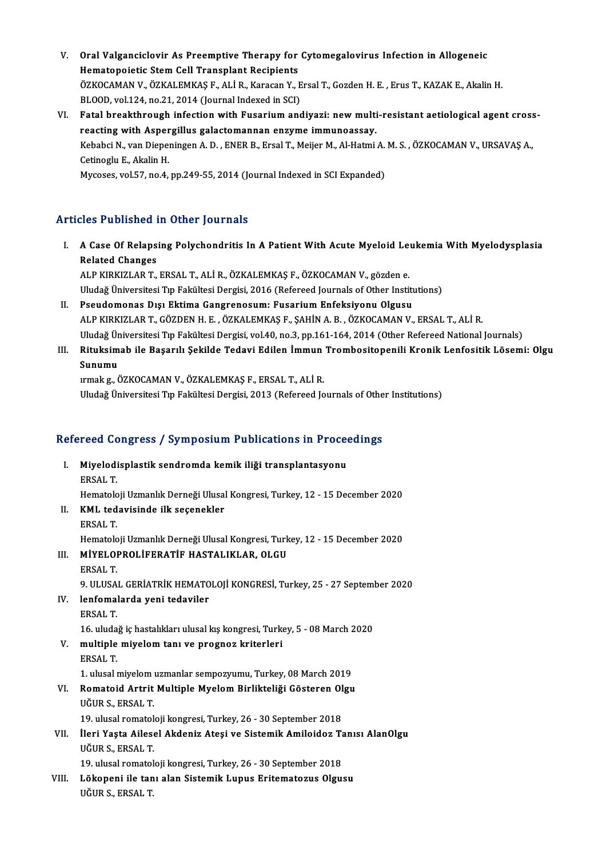- V. Oral Valganciclovir As Preemptive Therapy for Cytomegalovirus Infection in Allogeneic<br>Hematopeistic Stem Cell Trensplant Besinients Oral Valganciclovir As Preemptive Therapy for<br>Hematopoietic Stem Cell Transplant Recipients<br>ÖZKOCAMAN V. ÖZKALEMKAS E. ALLR, Karagan V. L Oral Valganciclovir As Preemptive Therapy for Cytomegalovirus Infection in Allogeneic<br>Hematopoietic Stem Cell Transplant Recipients<br>ÖZKOCAMAN V., ÖZKALEMKAŞ F., ALİ R., Karacan Y., Ersal T., Gozden H. E. , Erus T., KAZAK E Hematopoietic Stem Cell Transplant Recipients<br>ÖZKOCAMAN V., ÖZKALEMKAŞ F., ALİ R., Karacan Y., Ersal T., Gozden H. E. , Erus T., KAZAK E., Akalin H.<br>BLOOD, vol.124, no.21, 2014 (Journal Indexed in SCI) ÖZKOCAMAN V., ÖZKALEMKAŞ F., ALİ R., Karacan Y., Ersal T., Gozden H. E. , Erus T., KAZAK E., Akalin H.<br>BLOOD, vol.124, no.21, 2014 (Journal Indexed in SCI)<br>VI. Fatal breakthrough infection with Fusarium andiyazi: new multi
- BLOOD, vol.124, no.21, 2014 (Journal Indexed in SCI)<br>Fatal breakthrough infection with Fusarium andiyazi: new multi<br>reacting with Aspergillus galactomannan enzyme immunoassay.<br>Kebabsi N. van Dieneningen A. D., ENEP B. Ense Fatal breakthrough infection with Fusarium andiyazi: new multi-resistant aetiological agent cross<br>reacting with Aspergillus galactomannan enzyme immunoassay.<br>Kebabci N., van Diepeningen A. D. , ENER B., Ersal T., Meijer M. **The Example Teacting with Asper**<br>Kebabci N., van Dieper<br>Cetinoglu E., Akalin H.<br>Musesses vol 57, no 4 Kebabci N., van Diepeningen A. D. , ENER B., Ersal T., Meijer M., Al-Hatmi A.<br>Cetinoglu E., Akalin H.<br>Mycoses, vol.57, no.4, pp.249-55, 2014 (Journal Indexed in SCI Expanded)

### Mycoses, vol.57, no.4, pp.249-55, 2014 (Journal Indexed in SCI Expanded)<br>Articles Published in Other Journals

rticles Published in Other Journals<br>I. A Case Of Relapsing Polychondritis In A Patient With Acute Myeloid Leukemia With Myelodysplasia<br>Related Changes Related Changes<br>Related Changes<br>ALD VIDVIZI AD T Related Changes<br>ALP KIRKIZLAR T., ERSAL T., ALİ R., ÖZKALEMKAŞ F., ÖZKOCAMAN V., gözden e.

Uludağ Üniversitesi Tıp Fakültesi Dergisi, 2016 (Refereed Journals of Other Institutions) ALP KIRKIZLAR T., ERSAL T., ALİ R., ÖZKALEMKAŞ F., ÖZKOCAMAN V., gözden e.<br>Uludağ Üniversitesi Tıp Fakültesi Dergisi, 2016 (Refereed Journals of Other Institum<br>II. Pseudomonas Dışı Ektima Gangrenosum: Fusarium Enfeksiyonu

- Uludağ Üniversitesi Tıp Fakültesi Dergisi, 2016 (Refereed Journals of Other Institutions)<br>Pseudomonas Dışı Ektima Gangrenosum: Fusarium Enfeksiyonu Olgusu<br>ALP KIRKIZLAR T., GÖZDEN H. E. , ÖZKALEMKAŞ F., ŞAHİN A. B. , ÖZKOC Pseudomonas Dışı Ektima Gangrenosum: Fusarium Enfeksiyonu Olgusu<br>ALP KIRKIZLAR T., GÖZDEN H. E. , ÖZKALEMKAŞ F., ŞAHİN A. B. , ÖZKOCAMAN V., ERSAL T., ALİ R.<br>Uludağ Üniversitesi Tıp Fakültesi Dergisi, vol.40, no.3, pp.161-ALP KIRKIZLAR T., GÖZDEN H. E. , ÖZKALEMKAŞ F., ŞAHİN A. B. , ÖZKOCAMAN V., ERSAL T., ALİ R.<br>Uludağ Üniversitesi Tıp Fakültesi Dergisi, vol.40, no.3, pp.161-164, 2014 (Other Refereed National Journals)<br>III. Rituksimab
- Uludağ Ür<br><mark>Rituksim</mark><br>Sunumu<br><sup>Irmak a. Ö</sup> Rituksimab ile Başarılı Şekilde Tedavi Edilen İmmun<br>Sunumu<br>ırmak g., ÖZKOCAMAN V., ÖZKALEMKAŞ F., ERSAL T., ALİ R.<br>Uludağ Üniversitesi Tın Fakültesi Dergisi 2012 (Pefereed Je Sunumu<br>1 mak g., ÖZKOCAMAN V., ÖZKALEMKAŞ F., ERSAL T., ALİ R.<br>Uludağ Üniversitesi Tıp Fakültesi Dergisi, 2013 (Refereed Journals of Other Institutions)

# oludag oniversitesi Tip Fakultesi Dergisi, 2013 (Kelereed Journals of Othe<br>Refereed Congress / Symposium Publications in Proceedings

efereed Congress / Symposium Publications in Proce<br>I. Miyelodisplastik sendromda kemik iliği transplantasyonu<br>ERSAL T I. Miyelodisplastik sendromda kemik iliği transplantasyonu<br>ERSAL T. Miyelodisplastik sendromda kemik iliği transplantasyonu<br>ERSAL T.<br>Hematoloji Uzmanlık Derneği Ulusal Kongresi, Turkey, 12 - 15 December 2020<br>KML tedavisinde ilk sesenekler II. KML tedavisinde ilk seçenekler<br>ERSAL T. Hematolo<br>**KML ted<br>ERSAL T.**<br>Hematolo KML tedavisinde ilk seçenekler<br>ERSAL T.<br>Hematoloji Uzmanlık Derneği Ulusal Kongresi, Turkey, 12 - 15 December 2020<br>MİYELORROLİEERATİE HASTALIKLAR, OLGU III. MİYELOPROLİFERATİF HASTALIKLAR, OLGU<br>ERSAL T. Hematolo<br>MIYELOI<br>ERSAL T.<br>9. III USA MİYELOPROLİFERATİF HASTALIKLAR, OLGU<br>ERSAL T.<br>9. ULUSAL GERİATRİK HEMATOLOJİ KONGRESİ, Turkey, 25 - 27 September 2020<br>lanfamalarda yani tadayiler IV. lenfomalarda yeni tedaviler 9 ULUSA<br>lenfomal<br>ERSAL T. lenfomalarda yeni tedaviler<br>ERSAL T.<br>16. uludağ iç hastalıkları ulusal kış kongresi, Turkey, 5 - 08 March 2020<br>multiple mivelem tanı ve presnes kriterleri V. multiple miyelom tanı ve prognoz kriterleri<br>ERSAL T. 16. uluda<br>multiple<br>ERSAL T.<br>1. ulucal 1 multiple miyelom tanı ve prognoz kriterleri<br>ERSAL T.<br>1. ulusal miyelom uzmanlar sempozyumu, Turkey, 08 March 2019<br>Bomatoid Artnit Multiple Muslom Binlikteliği Gösteren Olay ERSAL T.<br>1. ulusal miyelom uzmanlar sempozyumu, Turkey, 08 March 2019<br>VI. Romatoid Artrit Multiple Myelom Birlikteliği Gösteren Olgu<br>UĞUB S. ERSAL T 1. ulusal miyelom<br>Romatoid Artrit<br>UĞUR S., ERSAL T.<br>10. ulusal ramatal Romatoid Artrit Multiple Myelom Birlikteliği Gösteren Ol<br>UĞUR S., ERSAL T.<br>19. ulusal romatoloji kongresi, Turkey, 26 - 30 September 2018<br>İleri Yesta Ailesal Akdeniz Atasi ve Sistemik Amileidez T. UĞUR S., ERSAL T.<br>19. ulusal romatoloji kongresi, Turkey, 26 - 30 September 2018<br>VII. İleri Yaşta Ailesel Akdeniz Ateşi ve Sistemik Amiloidoz Tanısı AlanOlgu<br>UĞUR S. ERSAL T. 19. ulusal romatol<br>İleri Yaşta Ailes<br>UĞUR S., ERSAL T.<br>19. ulusal romatol İleri Yaşta Ailesel Akdeniz Ateşi ve Sistemik Amiloidoz Ta<br>UĞUR S., ERSAL T.<br>19. ulusal romatoloji kongresi, Turkey, 26 - 30 September 2018<br>Löksponi ile tanı alan Sistemik Lunus Enitematerus Olav. UĞUR S., ERSAL T.<br>19. ulusal romatoloji kongresi, Turkey, 26 - 30 September 2018<br>VIII. Lökopeni ile tanı alan Sistemik Lupus Eritematozus Olgusu<br>11č110 s EPSAL T 19. ulusal romatol<br>Lõkopeni ile tan<br>UĞUR S., ERSAL T.